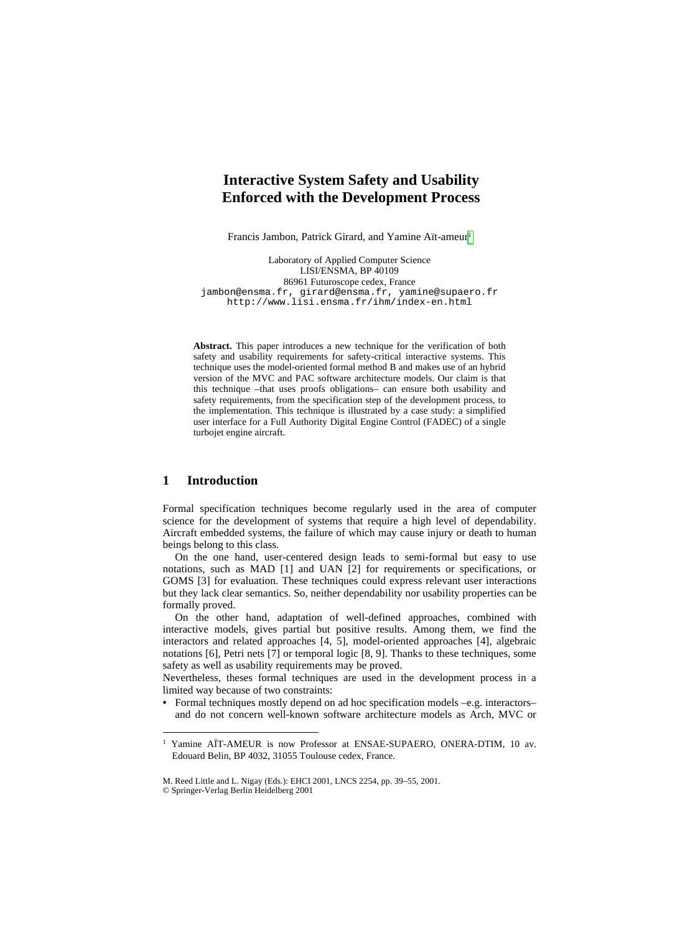# **Interactive System Safety and Usability Enforced with the Development Process**

Francis Jambon, Patrick Girard, and Yamine Aït-ameur<sup>1</sup>

Laboratory of Applied Computer Science LISI/ENSMA, BP 40109 86961 Futuroscope cedex, France jambon@ensma.fr, girard@ensma.fr, yamine@supaero.fr http://www.lisi.ensma.fr/ihm/index-en.html

**Abstract.** This paper introduces a new technique for the verification of both safety and usability requirements for safety-critical interactive systems. This technique uses the model-oriented formal method B and makes use of an hybrid version of the MVC and PAC software architecture models. Our claim is that this technique –that uses proofs obligations– can ensure both usability and safety requirements, from the specification step of the development process, to the implementation. This technique is illustrated by a case study: a simplified user interface for a Full Authority Digital Engine Control (FADEC) of a single turbojet engine aircraft.

### **1 Introduction**

Formal specification techniques become regularly used in the area of computer science for the development of systems that require a high level of dependability. Aircraft embedded systems, the failure of which may cause injury or death to human beings belong to this class.

On the one hand, user-centered design leads to semi-formal but easy to use notations, such as MAD [1] and UAN [2] for requirements or specifications, or GOMS [3] for evaluation. These techniques could express relevant user interactions but they lack clear semantics. So, neither dependability nor usability properties can be formally proved.

On the other hand, adaptation of well-defined approaches, combined with interactive models, gives partial but positive results. Among them, we find the interactors and related approaches [4, 5], model-oriented approaches [4], algebraic notations [6], Petri nets [7] or temporal logic [8, 9]. Thanks to these techniques, some safety as well as usability requirements may be proved.

Nevertheless, theses formal techniques are used in the development process in a limited way because of two constraints:

• Formal techniques mostly depend on ad hoc specification models –e.g. interactors– and do not concern well-known software architecture models as Arch, MVC or

-

<sup>1</sup> Yamine AÏT-AMEUR is now Professor at ENSAE-SUPAERO, ONERA-DTIM, 10 av. Edouard Belin, BP 4032, 31055 Toulouse cedex, France.

M. Reed Little and L. Nigay (Eds.): EHCI 2001, LNCS 2254, pp. 39–55, 2001.

<sup>©</sup> Springer-Verlag Berlin Heidelberg 2001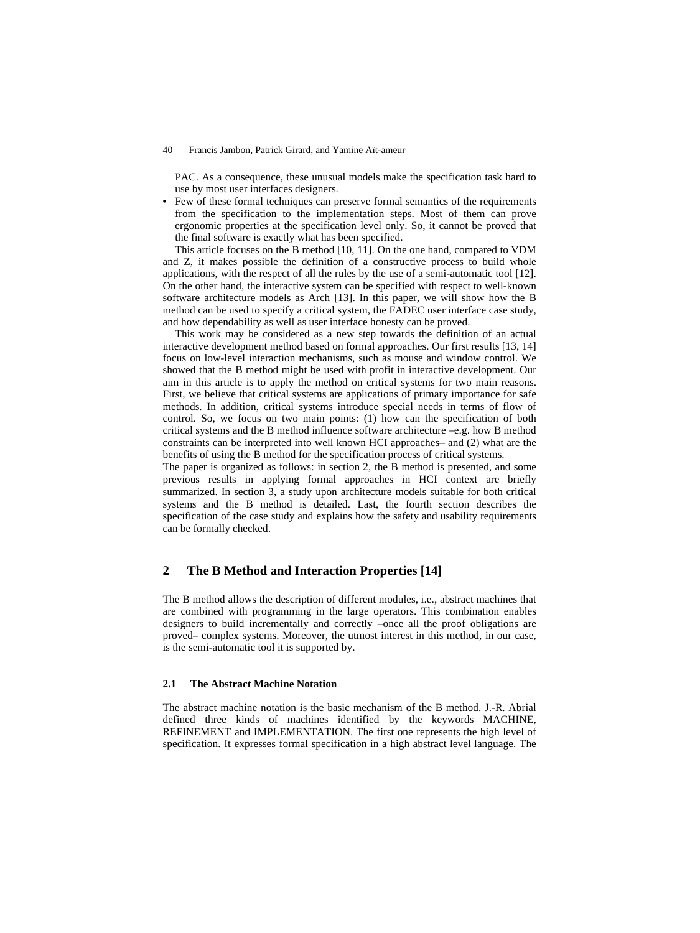PAC. As a consequence, these unusual models make the specification task hard to use by most user interfaces designers.

• Few of these formal techniques can preserve formal semantics of the requirements from the specification to the implementation steps. Most of them can prove ergonomic properties at the specification level only. So, it cannot be proved that the final software is exactly what has been specified.

This article focuses on the B method [10, 11]. On the one hand, compared to VDM and Z, it makes possible the definition of a constructive process to build whole applications, with the respect of all the rules by the use of a semi-automatic tool [12]. On the other hand, the interactive system can be specified with respect to well-known software architecture models as Arch [13]. In this paper, we will show how the B method can be used to specify a critical system, the FADEC user interface case study, and how dependability as well as user interface honesty can be proved.

This work may be considered as a new step towards the definition of an actual interactive development method based on formal approaches. Our first results [13, 14] focus on low-level interaction mechanisms, such as mouse and window control. We showed that the B method might be used with profit in interactive development. Our aim in this article is to apply the method on critical systems for two main reasons. First, we believe that critical systems are applications of primary importance for safe methods. In addition, critical systems introduce special needs in terms of flow of control. So, we focus on two main points: (1) how can the specification of both critical systems and the B method influence software architecture –e.g. how B method constraints can be interpreted into well known HCI approaches– and (2) what are the benefits of using the B method for the specification process of critical systems.

The paper is organized as follows: in section 2, the B method is presented, and some previous results in applying formal approaches in HCI context are briefly summarized. In section 3, a study upon architecture models suitable for both critical systems and the B method is detailed. Last, the fourth section describes the specification of the case study and explains how the safety and usability requirements can be formally checked.

### **2 The B Method and Interaction Properties [14]**

The B method allows the description of different modules, i.e., abstract machines that are combined with programming in the large operators. This combination enables designers to build incrementally and correctly –once all the proof obligations are proved– complex systems. Moreover, the utmost interest in this method, in our case, is the semi-automatic tool it is supported by.

### **2.1 The Abstract Machine Notation**

The abstract machine notation is the basic mechanism of the B method. J.-R. Abrial defined three kinds of machines identified by the keywords MACHINE, REFINEMENT and IMPLEMENTATION. The first one represents the high level of specification. It expresses formal specification in a high abstract level language. The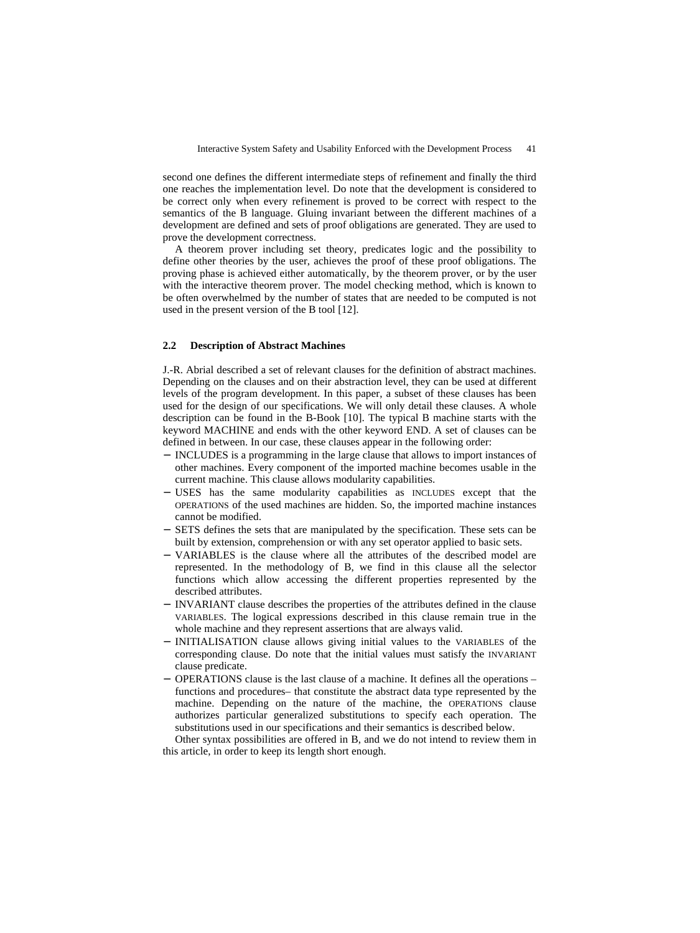second one defines the different intermediate steps of refinement and finally the third one reaches the implementation level. Do note that the development is considered to be correct only when every refinement is proved to be correct with respect to the semantics of the B language. Gluing invariant between the different machines of a development are defined and sets of proof obligations are generated. They are used to prove the development correctness.

A theorem prover including set theory, predicates logic and the possibility to define other theories by the user, achieves the proof of these proof obligations. The proving phase is achieved either automatically, by the theorem prover, or by the user with the interactive theorem prover. The model checking method, which is known to be often overwhelmed by the number of states that are needed to be computed is not used in the present version of the B tool [12].

#### **2.2 Description of Abstract Machines**

J.-R. Abrial described a set of relevant clauses for the definition of abstract machines. Depending on the clauses and on their abstraction level, they can be used at different levels of the program development. In this paper, a subset of these clauses has been used for the design of our specifications. We will only detail these clauses. A whole description can be found in the B-Book [10]. The typical B machine starts with the keyword MACHINE and ends with the other keyword END. A set of clauses can be defined in between. In our case, these clauses appear in the following order:

- − INCLUDES is a programming in the large clause that allows to import instances of other machines. Every component of the imported machine becomes usable in the current machine. This clause allows modularity capabilities.
- USES has the same modularity capabilities as INCLUDES except that the OPERATIONS of the used machines are hidden. So, the imported machine instances cannot be modified.
- − SETS defines the sets that are manipulated by the specification. These sets can be built by extension, comprehension or with any set operator applied to basic sets.
- − VARIABLES is the clause where all the attributes of the described model are represented. In the methodology of B, we find in this clause all the selector functions which allow accessing the different properties represented by the described attributes.
- INVARIANT clause describes the properties of the attributes defined in the clause VARIABLES. The logical expressions described in this clause remain true in the whole machine and they represent assertions that are always valid.
- − INITIALISATION clause allows giving initial values to the VARIABLES of the corresponding clause. Do note that the initial values must satisfy the INVARIANT clause predicate.
- − OPERATIONS clause is the last clause of a machine. It defines all the operations functions and procedures– that constitute the abstract data type represented by the machine. Depending on the nature of the machine, the OPERATIONS clause authorizes particular generalized substitutions to specify each operation. The substitutions used in our specifications and their semantics is described below.

Other syntax possibilities are offered in B, and we do not intend to review them in this article, in order to keep its length short enough.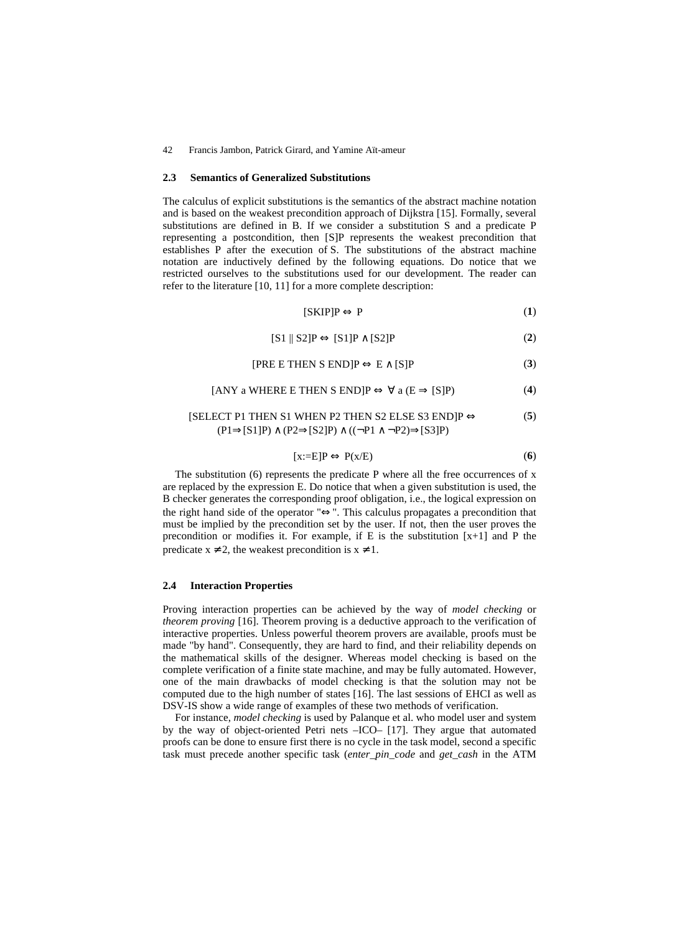#### **2.3 Semantics of Generalized Substitutions**

The calculus of explicit substitutions is the semantics of the abstract machine notation and is based on the weakest precondition approach of Dijkstra [15]. Formally, several substitutions are defined in B. If we consider a substitution S and a predicate P representing a postcondition, then [S]P represents the weakest precondition that establishes P after the execution of S. The substitutions of the abstract machine notation are inductively defined by the following equations. Do notice that we restricted ourselves to the substitutions used for our development. The reader can refer to the literature [10, 11] for a more complete description:

 $[SKIP]P \Leftrightarrow P$  (1)

$$
[S1 \parallel S2]P \Leftrightarrow [S1]P \wedge [S2]P \tag{2}
$$

$$
[PRE E THEN S END]P \Leftrightarrow E \wedge [S]P \tag{3}
$$

[ANY a WHERE E THEN S END]P 
$$
\Leftrightarrow \forall
$$
 a (E  $\Rightarrow$  [S]P) (4)

#### [SELECT P1 THEN S1 WHEN P2 THEN S2 ELSE S3 END]P  $\Leftrightarrow$ (P1⇒[S1]P) ∧ (P2⇒[S2]P) ∧ ((¬P1 ∧ ¬P2)⇒[S3]P) (**5**)

$$
[x:=E]P \Leftrightarrow P(x/E) \tag{6}
$$

The substitution (6) represents the predicate P where all the free occurrences of x are replaced by the expression E. Do notice that when a given substitution is used, the B checker generates the corresponding proof obligation, i.e., the logical expression on the right hand side of the operator "⇔". This calculus propagates a precondition that must be implied by the precondition set by the user. If not, then the user proves the precondition or modifies it. For example, if E is the substitution [x+1] and P the predicate  $x \neq 2$ , the weakest precondition is  $x \neq 1$ .

#### **2.4 Interaction Properties**

Proving interaction properties can be achieved by the way of *model checking* or *theorem proving* [16]. Theorem proving is a deductive approach to the verification of interactive properties. Unless powerful theorem provers are available, proofs must be made "by hand". Consequently, they are hard to find, and their reliability depends on the mathematical skills of the designer. Whereas model checking is based on the complete verification of a finite state machine, and may be fully automated. However, one of the main drawbacks of model checking is that the solution may not be computed due to the high number of states [16]. The last sessions of EHCI as well as DSV-IS show a wide range of examples of these two methods of verification.

For instance, *model checking* is used by Palanque et al. who model user and system by the way of object-oriented Petri nets –ICO– [17]. They argue that automated proofs can be done to ensure first there is no cycle in the task model, second a specific task must precede another specific task (*enter\_pin\_code* and *get\_cash* in the ATM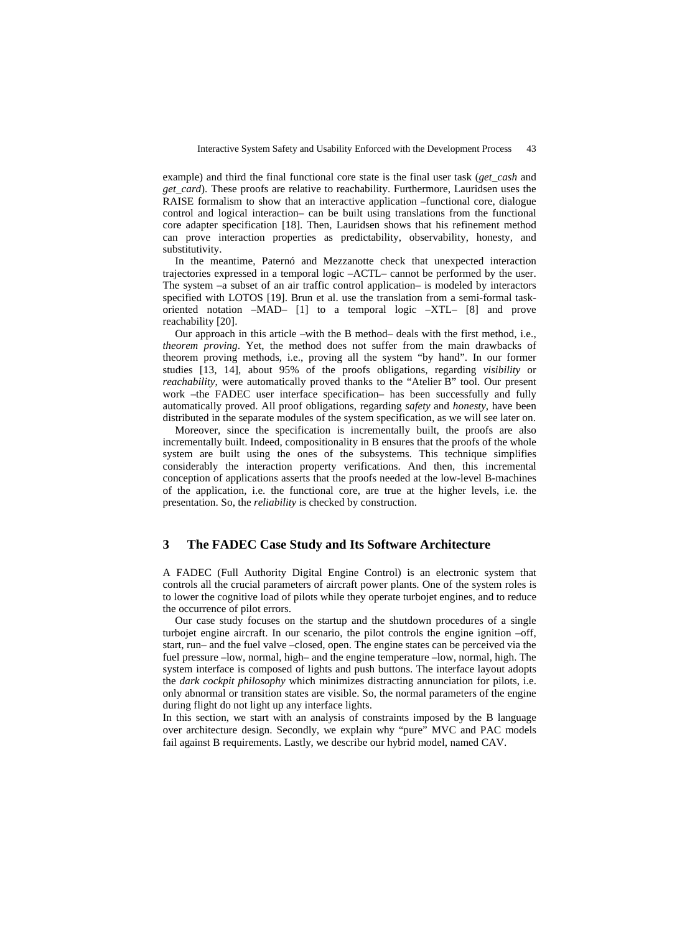example) and third the final functional core state is the final user task (*get\_cash* and *get\_card*). These proofs are relative to reachability. Furthermore, Lauridsen uses the RAISE formalism to show that an interactive application –functional core, dialogue control and logical interaction– can be built using translations from the functional core adapter specification [18]. Then, Lauridsen shows that his refinement method can prove interaction properties as predictability, observability, honesty, and substitutivity.

In the meantime, Paternó and Mezzanotte check that unexpected interaction trajectories expressed in a temporal logic –ACTL– cannot be performed by the user. The system –a subset of an air traffic control application– is modeled by interactors specified with LOTOS [19]. Brun et al. use the translation from a semi-formal taskoriented notation –MAD– [1] to a temporal logic –XTL– [8] and prove reachability [20].

Our approach in this article –with the B method– deals with the first method, i.e., *theorem proving*. Yet, the method does not suffer from the main drawbacks of theorem proving methods, i.e., proving all the system "by hand". In our former studies [13, 14], about 95% of the proofs obligations, regarding *visibility* or *reachability*, were automatically proved thanks to the "Atelier B" tool. Our present work –the FADEC user interface specification– has been successfully and fully automatically proved. All proof obligations, regarding *safety* and *honesty*, have been distributed in the separate modules of the system specification, as we will see later on.

Moreover, since the specification is incrementally built, the proofs are also incrementally built. Indeed, compositionality in B ensures that the proofs of the whole system are built using the ones of the subsystems. This technique simplifies considerably the interaction property verifications. And then, this incremental conception of applications asserts that the proofs needed at the low-level B-machines of the application, i.e. the functional core, are true at the higher levels, i.e. the presentation. So, the *reliability* is checked by construction.

### **3 The FADEC Case Study and Its Software Architecture**

A FADEC (Full Authority Digital Engine Control) is an electronic system that controls all the crucial parameters of aircraft power plants. One of the system roles is to lower the cognitive load of pilots while they operate turbojet engines, and to reduce the occurrence of pilot errors.

Our case study focuses on the startup and the shutdown procedures of a single turbojet engine aircraft. In our scenario, the pilot controls the engine ignition –off, start, run– and the fuel valve –closed, open. The engine states can be perceived via the fuel pressure –low, normal, high– and the engine temperature –low, normal, high. The system interface is composed of lights and push buttons. The interface layout adopts the *dark cockpit philosophy* which minimizes distracting annunciation for pilots, i.e. only abnormal or transition states are visible. So, the normal parameters of the engine during flight do not light up any interface lights.

In this section, we start with an analysis of constraints imposed by the B language over architecture design. Secondly, we explain why "pure" MVC and PAC models fail against B requirements. Lastly, we describe our hybrid model, named CAV.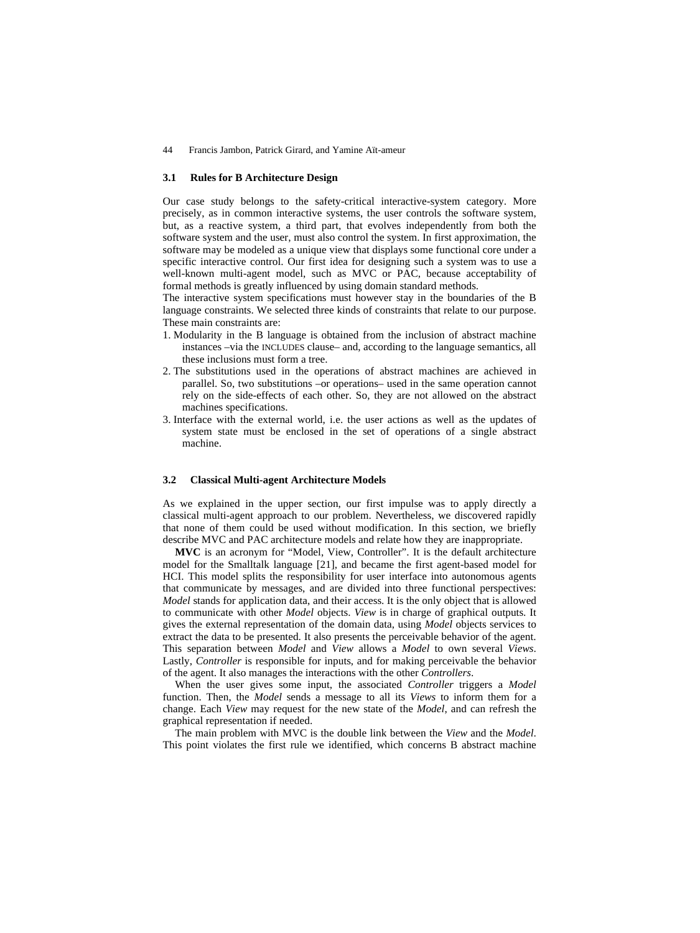#### **3.1 Rules for B Architecture Design**

Our case study belongs to the safety-critical interactive-system category. More precisely, as in common interactive systems, the user controls the software system, but, as a reactive system, a third part, that evolves independently from both the software system and the user, must also control the system. In first approximation, the software may be modeled as a unique view that displays some functional core under a specific interactive control. Our first idea for designing such a system was to use a well-known multi-agent model, such as MVC or PAC, because acceptability of formal methods is greatly influenced by using domain standard methods.

The interactive system specifications must however stay in the boundaries of the B language constraints. We selected three kinds of constraints that relate to our purpose. These main constraints are:

- 1. Modularity in the B language is obtained from the inclusion of abstract machine instances –via the INCLUDES clause– and, according to the language semantics, all these inclusions must form a tree.
- 2. The substitutions used in the operations of abstract machines are achieved in parallel. So, two substitutions –or operations– used in the same operation cannot rely on the side-effects of each other. So, they are not allowed on the abstract machines specifications.
- 3. Interface with the external world, i.e. the user actions as well as the updates of system state must be enclosed in the set of operations of a single abstract machine.

#### **3.2 Classical Multi-agent Architecture Models**

As we explained in the upper section, our first impulse was to apply directly a classical multi-agent approach to our problem. Nevertheless, we discovered rapidly that none of them could be used without modification. In this section, we briefly describe MVC and PAC architecture models and relate how they are inappropriate.

**MVC** is an acronym for "Model, View, Controller". It is the default architecture model for the Smalltalk language [21], and became the first agent-based model for HCI. This model splits the responsibility for user interface into autonomous agents that communicate by messages, and are divided into three functional perspectives: *Model* stands for application data, and their access. It is the only object that is allowed to communicate with other *Model* objects. *View* is in charge of graphical outputs. It gives the external representation of the domain data, using *Model* objects services to extract the data to be presented. It also presents the perceivable behavior of the agent. This separation between *Model* and *View* allows a *Model* to own several *Views*. Lastly, *Controller* is responsible for inputs, and for making perceivable the behavior of the agent. It also manages the interactions with the other *Controllers*.

When the user gives some input, the associated *Controller* triggers a *Model* function. Then, the *Model* sends a message to all its *Views* to inform them for a change. Each *View* may request for the new state of the *Model*, and can refresh the graphical representation if needed.

The main problem with MVC is the double link between the *View* and the *Model*. This point violates the first rule we identified, which concerns B abstract machine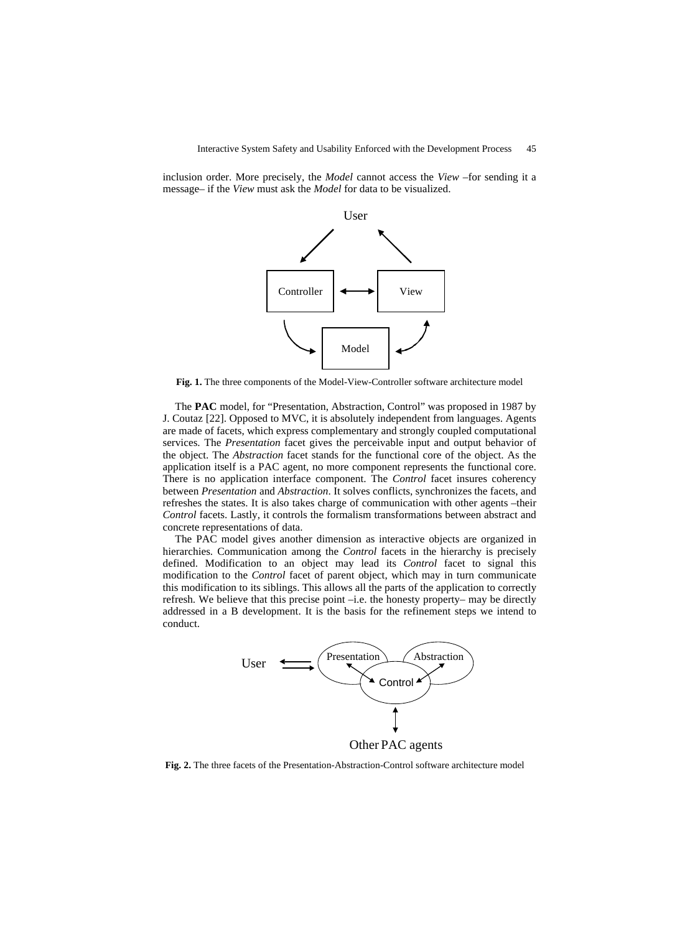inclusion order. More precisely, the *Model* cannot access the *View* –for sending it a message– if the *View* must ask the *Model* for data to be visualized.



**Fig. 1.** The three components of the Model-View-Controller software architecture model

The **PAC** model, for "Presentation, Abstraction, Control" was proposed in 1987 by J. Coutaz [22]. Opposed to MVC, it is absolutely independent from languages. Agents are made of facets, which express complementary and strongly coupled computational services. The *Presentation* facet gives the perceivable input and output behavior of the object. The *Abstraction* facet stands for the functional core of the object. As the application itself is a PAC agent, no more component represents the functional core. There is no application interface component. The *Control* facet insures coherency between *Presentation* and *Abstraction*. It solves conflicts, synchronizes the facets, and refreshes the states. It is also takes charge of communication with other agents –their *Control* facets. Lastly, it controls the formalism transformations between abstract and concrete representations of data.

The PAC model gives another dimension as interactive objects are organized in hierarchies. Communication among the *Control* facets in the hierarchy is precisely defined. Modification to an object may lead its *Control* facet to signal this modification to the *Control* facet of parent object, which may in turn communicate this modification to its siblings. This allows all the parts of the application to correctly refresh. We believe that this precise point –i.e. the honesty property– may be directly addressed in a B development. It is the basis for the refinement steps we intend to conduct.



**Fig. 2.** The three facets of the Presentation-Abstraction-Control software architecture model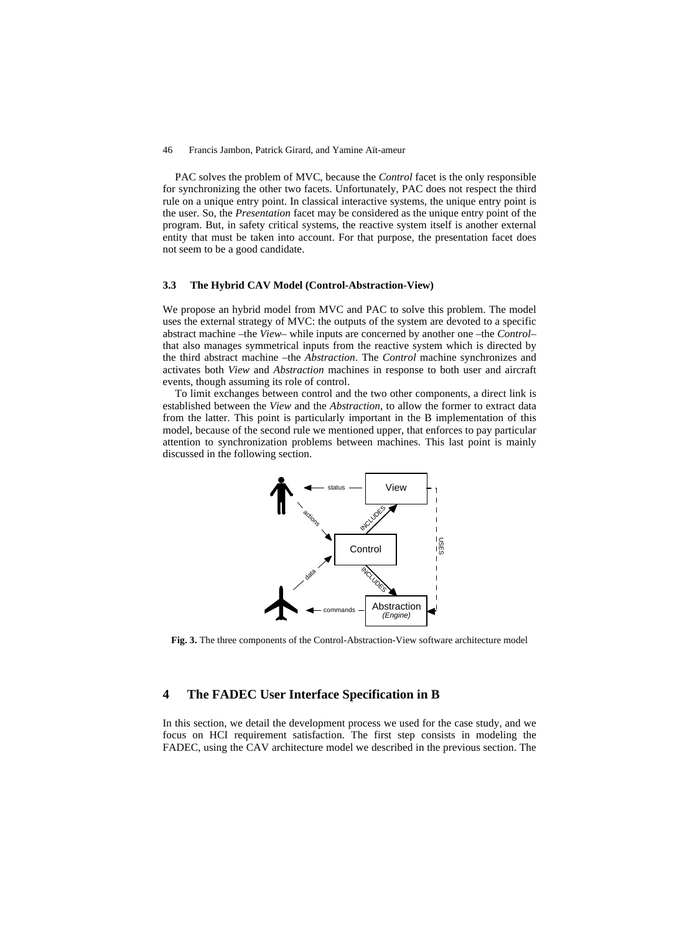PAC solves the problem of MVC, because the *Control* facet is the only responsible for synchronizing the other two facets. Unfortunately, PAC does not respect the third rule on a unique entry point. In classical interactive systems, the unique entry point is the user. So, the *Presentation* facet may be considered as the unique entry point of the program. But, in safety critical systems, the reactive system itself is another external entity that must be taken into account. For that purpose, the presentation facet does not seem to be a good candidate.

#### **3.3 The Hybrid CAV Model (Control-Abstraction-View)**

We propose an hybrid model from MVC and PAC to solve this problem. The model uses the external strategy of MVC: the outputs of the system are devoted to a specific abstract machine –the *View*– while inputs are concerned by another one –the *Control*– that also manages symmetrical inputs from the reactive system which is directed by the third abstract machine –the *Abstraction*. The *Control* machine synchronizes and activates both *View* and *Abstraction* machines in response to both user and aircraft events, though assuming its role of control.

To limit exchanges between control and the two other components, a direct link is established between the *View* and the *Abstraction*, to allow the former to extract data from the latter. This point is particularly important in the B implementation of this model, because of the second rule we mentioned upper, that enforces to pay particular attention to synchronization problems between machines. This last point is mainly discussed in the following section.



**Fig. 3.** The three components of the Control-Abstraction-View software architecture model

## **4 The FADEC User Interface Specification in B**

In this section, we detail the development process we used for the case study, and we focus on HCI requirement satisfaction. The first step consists in modeling the FADEC, using the CAV architecture model we described in the previous section. The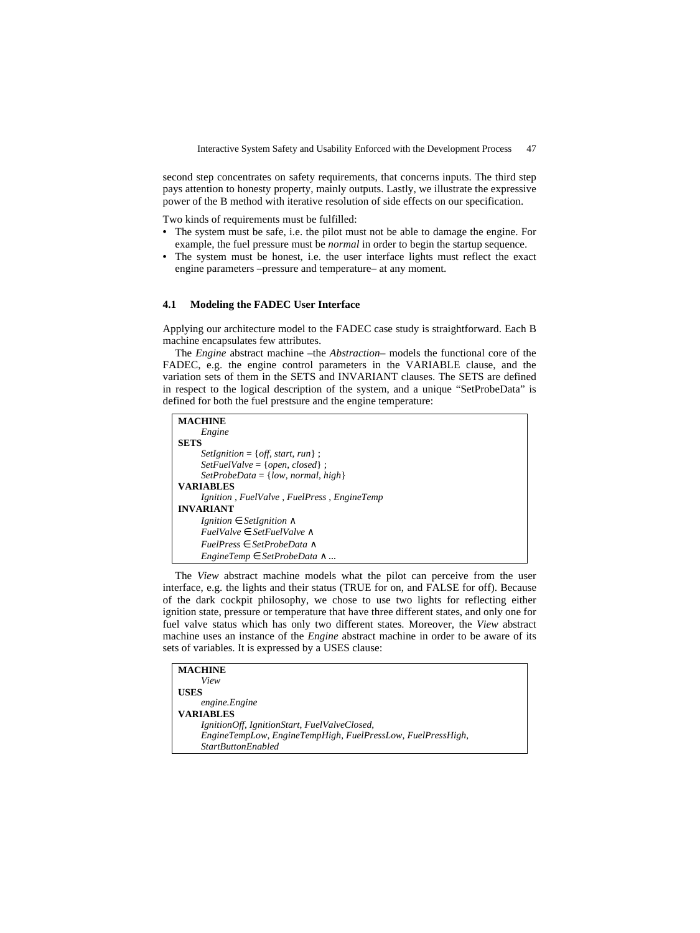second step concentrates on safety requirements, that concerns inputs. The third step pays attention to honesty property, mainly outputs. Lastly, we illustrate the expressive power of the B method with iterative resolution of side effects on our specification.

Two kinds of requirements must be fulfilled:

- The system must be safe, i.e. the pilot must not be able to damage the engine. For example, the fuel pressure must be *normal* in order to begin the startup sequence.
- The system must be honest, i.e. the user interface lights must reflect the exact engine parameters –pressure and temperature– at any moment.

### **4.1 Modeling the FADEC User Interface**

Applying our architecture model to the FADEC case study is straightforward. Each B machine encapsulates few attributes.

The *Engine* abstract machine –the *Abstraction*– models the functional core of the FADEC, e.g. the engine control parameters in the VARIABLE clause, and the variation sets of them in the SETS and INVARIANT clauses. The SETS are defined in respect to the logical description of the system, and a unique "SetProbeData" is defined for both the fuel prestsure and the engine temperature:

| <b>MACHINE</b>                                                            |
|---------------------------------------------------------------------------|
| Engine                                                                    |
| <b>SETS</b>                                                               |
| $SetI$ gnition = {off, start, run} ;                                      |
| $SetFullValue = \{open, closed\};$                                        |
| $SetProbeData = \{low, normal, high\}$                                    |
| <b>VARIABLES</b>                                                          |
| <i>Ignition</i> , <i>FuelValve</i> , <i>FuelPress</i> , <i>EngineTemp</i> |
| <b>INVARIANT</b>                                                          |
| Ignition $\in$ SetIgnition $\wedge$                                       |
| $FuelValue \in SetFuelValue \wedge$                                       |
| $FuelPress \in SetProbeData \wedge$                                       |
| EngineTemp $\in$ SetProbeData $\wedge \dots$                              |

The *View* abstract machine models what the pilot can perceive from the user interface, e.g. the lights and their status (TRUE for on, and FALSE for off). Because of the dark cockpit philosophy, we chose to use two lights for reflecting either ignition state, pressure or temperature that have three different states, and only one for fuel valve status which has only two different states. Moreover, the *View* abstract machine uses an instance of the *Engine* abstract machine in order to be aware of its sets of variables. It is expressed by a USES clause:

| <b>MACHINE</b>                                              |  |  |
|-------------------------------------------------------------|--|--|
| View                                                        |  |  |
| <b>USES</b>                                                 |  |  |
| engine.Engine                                               |  |  |
| <b>VARIABLES</b>                                            |  |  |
| IgnitionOff, IgnitionStart, FuelValveClosed,                |  |  |
| EngineTempLow, EngineTempHigh, FuelPressLow, FuelPressHigh, |  |  |
| <b>StartButtonEnabled</b>                                   |  |  |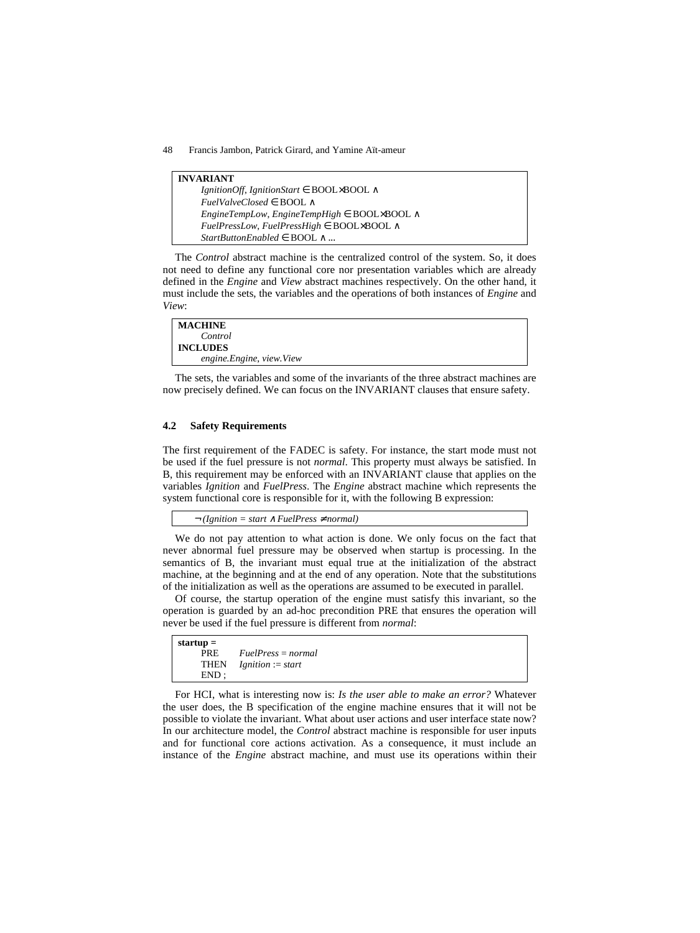| <b>INVARIANT</b>                                                 |
|------------------------------------------------------------------|
| IgnitionOff, IgnitionStart $\in$ BOOL $\times$ BOOL $\wedge$     |
| $FuelValveClosed \in BOOL \wedge$                                |
| $EngineeringTempLow, EngineTempHigh \in BOOL \times BOOL \wedge$ |
| $FuelPressLow, FuelPressHigh \in BOOL\times BOOL \wedge$         |
| $StartButtonEnabeled \in BOOL \wedge $                           |

The *Control* abstract machine is the centralized control of the system. So, it does not need to define any functional core nor presentation variables which are already defined in the *Engine* and *View* abstract machines respectively. On the other hand, it must include the sets, the variables and the operations of both instances of *Engine* and *View*:

| <b>MACHINE</b>             |  |  |
|----------------------------|--|--|
| Control                    |  |  |
| <b>INCLUDES</b>            |  |  |
| engine. Engine, view. View |  |  |
|                            |  |  |

The sets, the variables and some of the invariants of the three abstract machines are now precisely defined. We can focus on the INVARIANT clauses that ensure safety.

#### **4.2 Safety Requirements**

The first requirement of the FADEC is safety. For instance, the start mode must not be used if the fuel pressure is not *normal*. This property must always be satisfied. In B, this requirement may be enforced with an INVARIANT clause that applies on the variables *Ignition* and *FuelPress*. The *Engine* abstract machine which represents the system functional core is responsible for it, with the following B expression:

<sup>¬</sup> *(Ignition = start* ∧ *FuelPress* ≠ *normal)* 

We do not pay attention to what action is done. We only focus on the fact that never abnormal fuel pressure may be observed when startup is processing. In the semantics of B, the invariant must equal true at the initialization of the abstract machine, at the beginning and at the end of any operation. Note that the substitutions of the initialization as well as the operations are assumed to be executed in parallel.

Of course, the startup operation of the engine must satisfy this invariant, so the operation is guarded by an ad-hoc precondition PRE that ensures the operation will never be used if the fuel pressure is different from *normal*:

| startup $=$ |                                 |
|-------------|---------------------------------|
| PRE.        | $FuelPress = normal$            |
| <b>THEN</b> | <i>Ignition</i> := <i>start</i> |
| END:        |                                 |

For HCI, what is interesting now is: *Is the user able to make an error?* Whatever the user does, the B specification of the engine machine ensures that it will not be possible to violate the invariant. What about user actions and user interface state now? In our architecture model, the *Control* abstract machine is responsible for user inputs and for functional core actions activation. As a consequence, it must include an instance of the *Engine* abstract machine, and must use its operations within their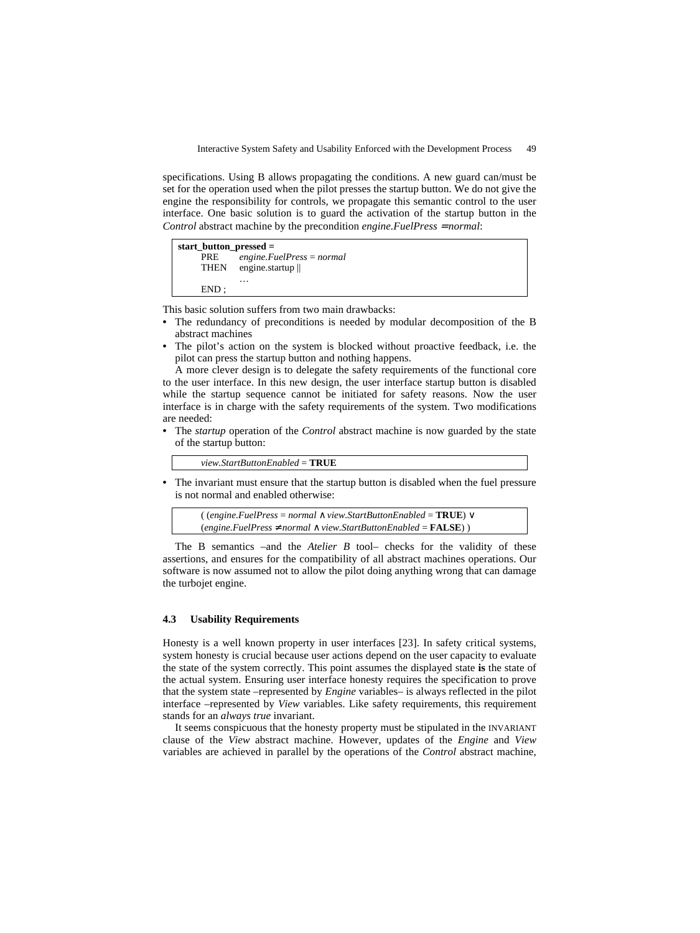specifications. Using B allows propagating the conditions. A new guard can/must be set for the operation used when the pilot presses the startup button. We do not give the engine the responsibility for controls, we propagate this semantic control to the user interface. One basic solution is to guard the activation of the startup button in the *Control* abstract machine by the precondition *engine.FuelPress* = *normal*:

**start\_button\_pressed =**  PRE *engine.FuelPress* = *normal* engine.startup || … END ;

This basic solution suffers from two main drawbacks:

- The redundancy of preconditions is needed by modular decomposition of the B abstract machines
- The pilot's action on the system is blocked without proactive feedback, i.e. the pilot can press the startup button and nothing happens.

A more clever design is to delegate the safety requirements of the functional core to the user interface. In this new design, the user interface startup button is disabled while the startup sequence cannot be initiated for safety reasons. Now the user interface is in charge with the safety requirements of the system. Two modifications are needed:

• The *startup* operation of the *Control* abstract machine is now guarded by the state of the startup button:

*view.StartButtonEnabled* = **TRUE**

The invariant must ensure that the startup button is disabled when the fuel pressure is not normal and enabled otherwise:

```
 ( (engine.FuelPress = normal ∧ view.StartButtonEnabled = TRUE) ∨
(engine.FuelPress ≠ normal ∧ view.StartButtonEnabled = FALSE) )
```
The B semantics –and the *Atelier B* tool– checks for the validity of these assertions, and ensures for the compatibility of all abstract machines operations. Our software is now assumed not to allow the pilot doing anything wrong that can damage the turbojet engine.

#### **4.3 Usability Requirements**

Honesty is a well known property in user interfaces [23]. In safety critical systems, system honesty is crucial because user actions depend on the user capacity to evaluate the state of the system correctly. This point assumes the displayed state **is** the state of the actual system. Ensuring user interface honesty requires the specification to prove that the system state –represented by *Engine* variables– is always reflected in the pilot interface –represented by *View* variables. Like safety requirements, this requirement stands for an *always true* invariant.

It seems conspicuous that the honesty property must be stipulated in the INVARIANT clause of the *View* abstract machine. However, updates of the *Engine* and *View* variables are achieved in parallel by the operations of the *Control* abstract machine,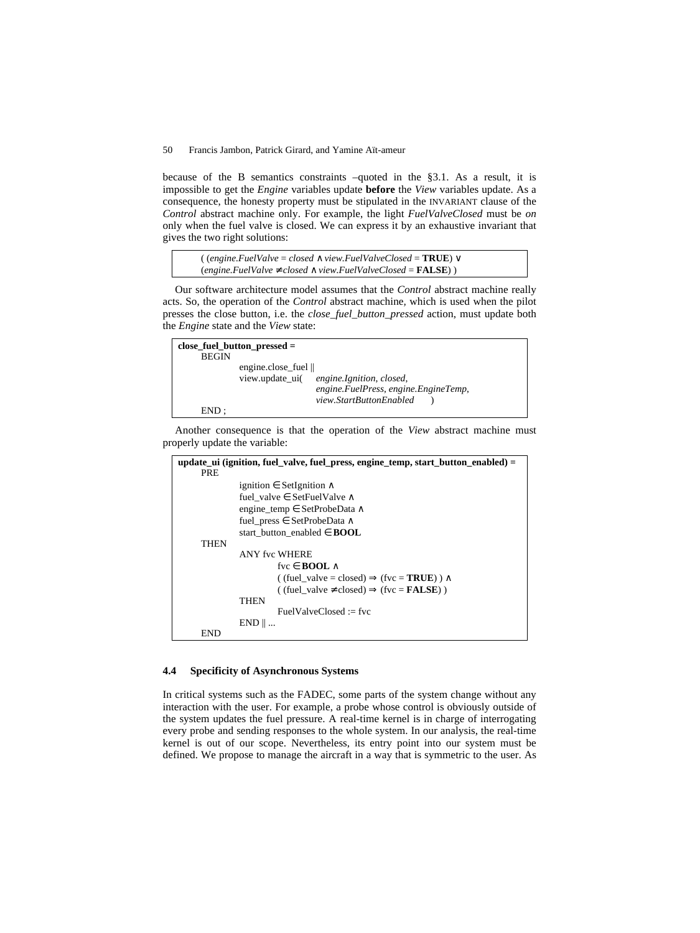because of the B semantics constraints –quoted in the §3.1. As a result, it is impossible to get the *Engine* variables update **before** the *View* variables update. As a consequence, the honesty property must be stipulated in the INVARIANT clause of the *Control* abstract machine only. For example, the light *FuelValveClosed* must be *on* only when the fuel valve is closed. We can express it by an exhaustive invariant that gives the two right solutions:

```
 ( (engine.FuelValve = closed ∧ view.FuelValveClosed = TRUE) ∨
(engine.FuelValve ≠ closed ∧ view.FuelValveClosed = FALSE) )
```
Our software architecture model assumes that the *Control* abstract machine really acts. So, the operation of the *Control* abstract machine*,* which is used when the pilot presses the close button, i.e. the *close\_fuel\_button\_pressed* action, must update both the *Engine* state and the *View* state:

| close fuel button pressed $=$ |                                         |
|-------------------------------|-----------------------------------------|
| <b>BEGIN</b>                  |                                         |
| engine.close_fuel $\parallel$ |                                         |
|                               | view.update_ui(engine.Ignition, closed, |
|                               | engine.FuelPress, engine.EngineTemp,    |
|                               | view.StartButtonEnabled                 |
| END:                          |                                         |

Another consequence is that the operation of the *View* abstract machine must properly update the variable:

| update ui (ignition, fuel_valve, fuel_press, engine_temp, start_button_enabled) = |                                                                    |  |  |
|-----------------------------------------------------------------------------------|--------------------------------------------------------------------|--|--|
| <b>PRE</b>                                                                        |                                                                    |  |  |
|                                                                                   | ignition $\in$ SetIgnition $\wedge$                                |  |  |
|                                                                                   | fuel valve $\in$ SetFuelValve $\wedge$                             |  |  |
|                                                                                   | engine_temp $\in$ SetProbeData $\wedge$                            |  |  |
|                                                                                   | fuel press $\in$ SetProbeData $\wedge$                             |  |  |
|                                                                                   | start button enabled $\in$ <b>BOOL</b>                             |  |  |
| <b>THEN</b>                                                                       |                                                                    |  |  |
|                                                                                   | ANY fvc WHERE                                                      |  |  |
|                                                                                   | fvc $\in$ <b>BOOL</b> $\wedge$                                     |  |  |
|                                                                                   | ((fuel valve = closed) $\Rightarrow$ (fvc = <b>TRUE</b> )) $\land$ |  |  |
|                                                                                   | ((fuel valve $\neq$ closed) $\Rightarrow$ (fvc = <b>FALSE</b> ))   |  |  |
|                                                                                   | THEN                                                               |  |  |
|                                                                                   | $FuelValveClosed := fvc$                                           |  |  |
|                                                                                   | $END \parallel $                                                   |  |  |
| END                                                                               |                                                                    |  |  |

#### **4.4 Specificity of Asynchronous Systems**

In critical systems such as the FADEC, some parts of the system change without any interaction with the user. For example, a probe whose control is obviously outside of the system updates the fuel pressure. A real-time kernel is in charge of interrogating every probe and sending responses to the whole system. In our analysis, the real-time kernel is out of our scope. Nevertheless, its entry point into our system must be defined. We propose to manage the aircraft in a way that is symmetric to the user. As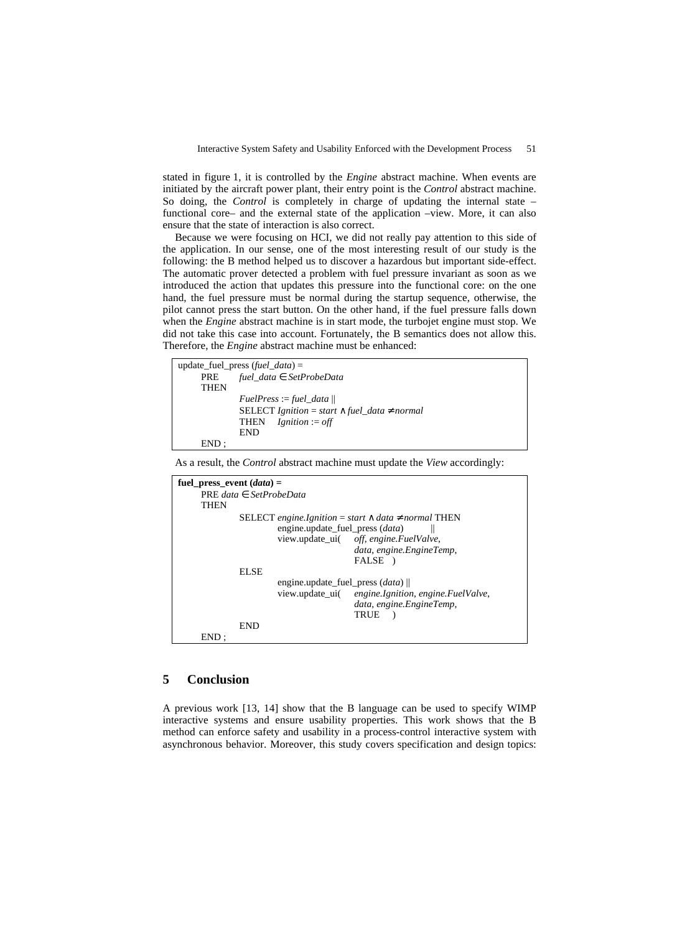stated in figure 1, it is controlled by the *Engine* abstract machine. When events are initiated by the aircraft power plant, their entry point is the *Control* abstract machine. So doing, the *Control* is completely in charge of updating the internal state – functional core– and the external state of the application –view. More, it can also ensure that the state of interaction is also correct.

Because we were focusing on HCI, we did not really pay attention to this side of the application. In our sense, one of the most interesting result of our study is the following: the B method helped us to discover a hazardous but important side-effect. The automatic prover detected a problem with fuel pressure invariant as soon as we introduced the action that updates this pressure into the functional core: on the one hand, the fuel pressure must be normal during the startup sequence, otherwise, the pilot cannot press the start button. On the other hand, if the fuel pressure falls down when the *Engine* abstract machine is in start mode, the turbojet engine must stop. We did not take this case into account. Fortunately, the B semantics does not allow this. Therefore, the *Engine* abstract machine must be enhanced:

```
update_fuel_press (fuel_data) = 
     PRE fuel_data ∈ SetProbeData
     THEN 
              FuelPress := fuel_data || 
              SELECT Ignition = start ∧ fuel_data ≠ normal
              THEN Ignition := off 
              END 
     END ;
```
As a result, the *Control* abstract machine must update the *View* accordingly:



### **5 Conclusion**

A previous work [13, 14] show that the B language can be used to specify WIMP interactive systems and ensure usability properties. This work shows that the B method can enforce safety and usability in a process-control interactive system with asynchronous behavior. Moreover, this study covers specification and design topics: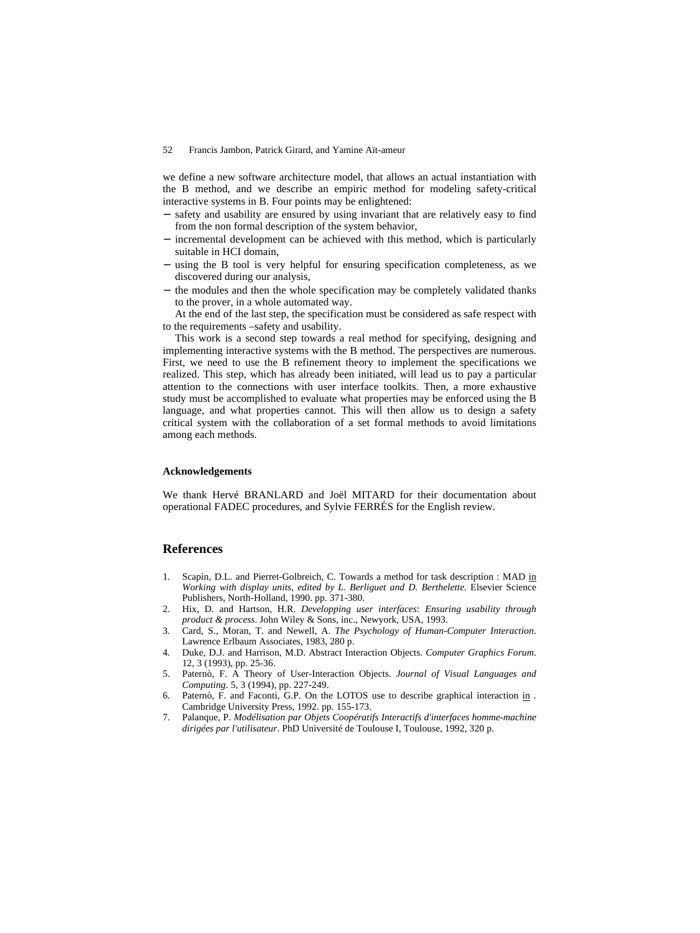we define a new software architecture model, that allows an actual instantiation with the B method, and we describe an empiric method for modeling safety-critical interactive systems in B. Four points may be enlightened:

- − safety and usability are ensured by using invariant that are relatively easy to find from the non formal description of the system behavior,
- − incremental development can be achieved with this method, which is particularly suitable in HCI domain,
- using the B tool is very helpful for ensuring specification completeness, as we discovered during our analysis,
- the modules and then the whole specification may be completely validated thanks to the prover, in a whole automated way.

At the end of the last step, the specification must be considered as safe respect with to the requirements –safety and usability.

This work is a second step towards a real method for specifying, designing and implementing interactive systems with the B method. The perspectives are numerous. First, we need to use the B refinement theory to implement the specifications we realized. This step, which has already been initiated, will lead us to pay a particular attention to the connections with user interface toolkits. Then, a more exhaustive study must be accomplished to evaluate what properties may be enforced using the B language, and what properties cannot. This will then allow us to design a safety critical system with the collaboration of a set formal methods to avoid limitations among each methods.

#### **Acknowledgements**

We thank Hervé BRANLARD and Joël MITARD for their documentation about operational FADEC procedures, and Sylvie FERRÉS for the English review.

### **References**

- 1. Scapin, D.L. and Pierret-Golbreich, C. Towards a method for task description : MAD in *Working with display units, edited by L. Berliguet and D. Berthelette.* Elsevier Science Publishers, North-Holland, 1990. pp. 371-380.
- 2. Hix, D. and Hartson, H.R. *Developping user interfaces: Ensuring usability through product & process*. John Wiley & Sons, inc., Newyork, USA, 1993.
- 3. Card, S., Moran, T. and Newell, A. *The Psychology of Human-Computer Interaction*. Lawrence Erlbaum Associates, 1983, 280 p.
- 4. Duke, D.J. and Harrison, M.D. Abstract Interaction Objects. *Computer Graphics Forum*. 12, 3 (1993), pp. 25-36.
- 5. Paternò, F. A Theory of User-Interaction Objects. *Journal of Visual Languages and Computing*. 5, 3 (1994), pp. 227-249.
- 6. Paternò, F. and Faconti, G.P. On the LOTOS use to describe graphical interaction in *.* Cambridge University Press, 1992. pp. 155-173.
- 7. Palanque, P. *Modélisation par Objets Coopératifs Interactifs d'interfaces homme-machine dirigées par l'utilisateur*. PhD Université de Toulouse I, Toulouse, 1992, 320 p.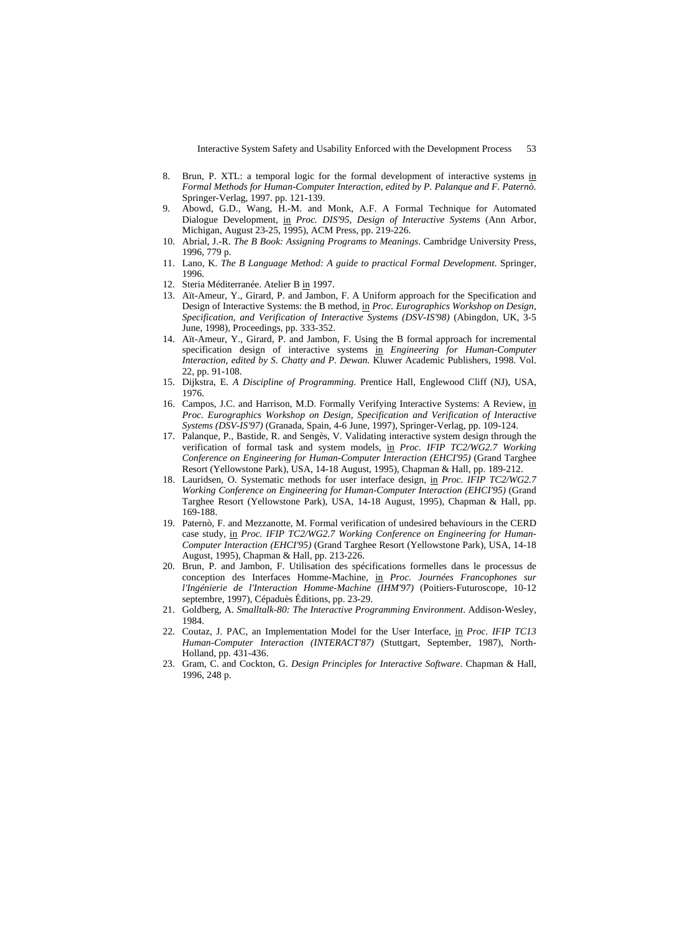- 8. Brun, P. XTL: a temporal logic for the formal development of interactive systems in *Formal Methods for Human-Computer Interaction, edited by P. Palanque and F. Paternò.* Springer-Verlag, 1997. pp. 121-139.
- 9. Abowd, G.D., Wang, H.-M. and Monk, A.F. A Formal Technique for Automated Dialogue Development, in *Proc. DIS'95, Design of Interactive Systems* (Ann Arbor, Michigan, August 23-25, 1995), ACM Press, pp. 219-226.
- 10. Abrial, J.-R. *The B Book: Assigning Programs to Meanings*. Cambridge University Press, 1996, 779 p.
- 11. Lano, K. *The B Language Method: A guide to practical Formal Development*. Springer, 1996.
- 12. Steria Méditerranée. Atelier B in 1997.
- 13. Aït-Ameur, Y., Girard, P. and Jambon, F. A Uniform approach for the Specification and Design of Interactive Systems: the B method, in *Proc. Eurographics Workshop on Design, Specification, and Verification of Interactive Systems (DSV-IS'98)* (Abingdon, UK, 3-5 June, 1998), Proceedings, pp. 333-352.
- 14. Aït-Ameur, Y., Girard, P. and Jambon, F. Using the B formal approach for incremental specification design of interactive systems in *Engineering for Human-Computer Interaction, edited by S. Chatty and P. Dewan.* Kluwer Academic Publishers, 1998. Vol. 22, pp. 91-108.
- 15. Dijkstra, E. *A Discipline of Programming*. Prentice Hall, Englewood Cliff (NJ), USA, 1976.
- 16. Campos, J.C. and Harrison, M.D. Formally Verifying Interactive Systems: A Review, in *Proc. Eurographics Workshop on Design, Specification and Verification of Interactive Systems (DSV-IS'97)* (Granada, Spain, 4-6 June, 1997), Springer-Verlag, pp. 109-124.
- 17. Palanque, P., Bastide, R. and Sengès, V. Validating interactive system design through the verification of formal task and system models, in *Proc. IFIP TC2/WG2.7 Working Conference on Engineering for Human-Computer Interaction (EHCI'95)* (Grand Targhee Resort (Yellowstone Park), USA, 14-18 August, 1995), Chapman & Hall, pp. 189-212.
- 18. Lauridsen, O. Systematic methods for user interface design, in *Proc. IFIP TC2/WG2.7 Working Conference on Engineering for Human-Computer Interaction (EHCI'95)* (Grand Targhee Resort (Yellowstone Park), USA, 14-18 August, 1995), Chapman & Hall, pp. 169-188.
- 19. Paternò, F. and Mezzanotte, M. Formal verification of undesired behaviours in the CERD case study, in *Proc. IFIP TC2/WG2.7 Working Conference on Engineering for Human-Computer Interaction (EHCI'95)* (Grand Targhee Resort (Yellowstone Park), USA, 14-18 August, 1995), Chapman & Hall, pp. 213-226.
- 20. Brun, P. and Jambon, F. Utilisation des spécifications formelles dans le processus de conception des Interfaces Homme-Machine, in *Proc. Journées Francophones sur l'Ingénierie de l'Interaction Homme-Machine (IHM'97)* (Poitiers-Futuroscope, 10-12 septembre, 1997), Cépaduès Éditions, pp. 23-29.
- 21. Goldberg, A. *Smalltalk-80: The Interactive Programming Environment*. Addison-Wesley, 1984.
- 22. Coutaz, J. PAC, an Implementation Model for the User Interface, in *Proc. IFIP TC13 Human-Computer Interaction (INTERACT'87)* (Stuttgart, September, 1987), North-Holland, pp. 431-436.
- 23. Gram, C. and Cockton, G. *Design Principles for Interactive Software*. Chapman & Hall, 1996, 248 p.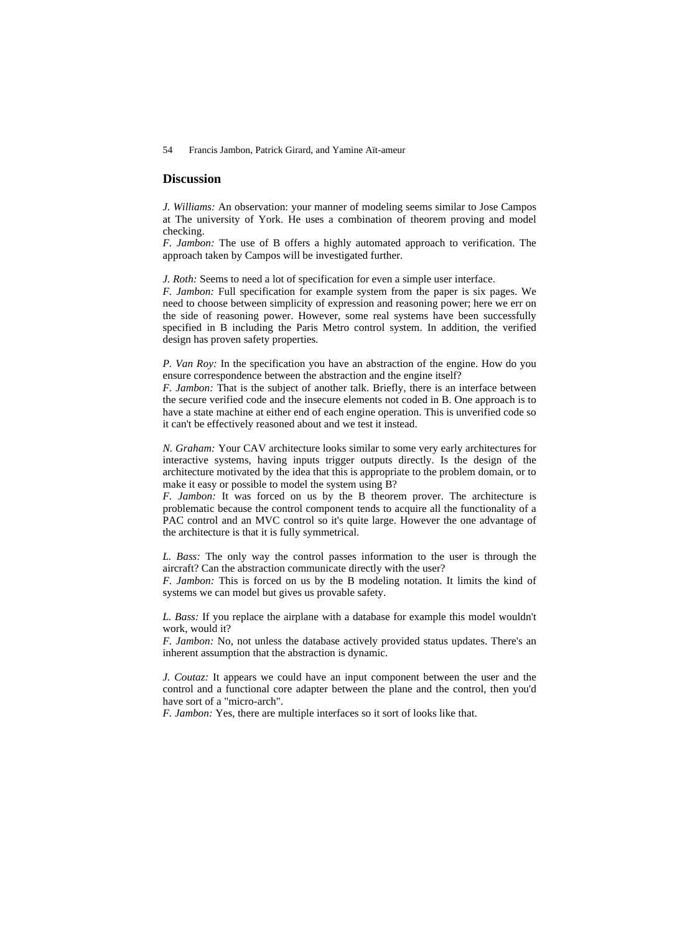### **Discussion**

*J. Williams:* An observation: your manner of modeling seems similar to Jose Campos at The university of York. He uses a combination of theorem proving and model checking.

*F. Jambon:* The use of B offers a highly automated approach to verification. The approach taken by Campos will be investigated further.

*J. Roth:* Seems to need a lot of specification for even a simple user interface.

*F. Jambon:* Full specification for example system from the paper is six pages. We need to choose between simplicity of expression and reasoning power; here we err on the side of reasoning power. However, some real systems have been successfully specified in B including the Paris Metro control system. In addition, the verified design has proven safety properties.

*P. Van Roy:* In the specification you have an abstraction of the engine. How do you ensure correspondence between the abstraction and the engine itself?

*F. Jambon:* That is the subject of another talk. Briefly, there is an interface between the secure verified code and the insecure elements not coded in B. One approach is to have a state machine at either end of each engine operation. This is unverified code so it can't be effectively reasoned about and we test it instead.

*N. Graham:* Your CAV architecture looks similar to some very early architectures for interactive systems, having inputs trigger outputs directly. Is the design of the architecture motivated by the idea that this is appropriate to the problem domain, or to make it easy or possible to model the system using B?

*F. Jambon:* It was forced on us by the B theorem prover. The architecture is problematic because the control component tends to acquire all the functionality of a PAC control and an MVC control so it's quite large. However the one advantage of the architecture is that it is fully symmetrical.

*L. Bass:* The only way the control passes information to the user is through the aircraft? Can the abstraction communicate directly with the user?

*F. Jambon:* This is forced on us by the B modeling notation. It limits the kind of systems we can model but gives us provable safety.

*L. Bass:* If you replace the airplane with a database for example this model wouldn't work, would it?

*F. Jambon:* No, not unless the database actively provided status updates. There's an inherent assumption that the abstraction is dynamic.

*J. Coutaz:* It appears we could have an input component between the user and the control and a functional core adapter between the plane and the control, then you'd have sort of a "micro-arch".

*F. Jambon:* Yes, there are multiple interfaces so it sort of looks like that.